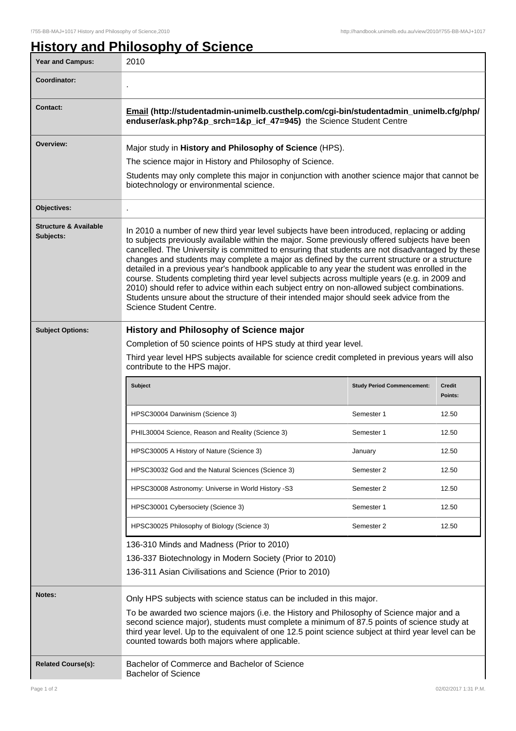## **History and Philosophy of Science**

| <b>Year and Campus:</b>                       | 2010                                                                                                                                                                                                                                                                                                                                                                                                                                                                                                                                                                                                                                                                                                                                                                                                                   |                                   |                          |
|-----------------------------------------------|------------------------------------------------------------------------------------------------------------------------------------------------------------------------------------------------------------------------------------------------------------------------------------------------------------------------------------------------------------------------------------------------------------------------------------------------------------------------------------------------------------------------------------------------------------------------------------------------------------------------------------------------------------------------------------------------------------------------------------------------------------------------------------------------------------------------|-----------------------------------|--------------------------|
| Coordinator:                                  |                                                                                                                                                                                                                                                                                                                                                                                                                                                                                                                                                                                                                                                                                                                                                                                                                        |                                   |                          |
| <b>Contact:</b>                               | Email (http://studentadmin-unimelb.custhelp.com/cgi-bin/studentadmin_unimelb.cfg/php/<br>enduser/ask.php?&p_srch=1&p_icf_47=945) the Science Student Centre                                                                                                                                                                                                                                                                                                                                                                                                                                                                                                                                                                                                                                                            |                                   |                          |
| Overview:                                     | Major study in History and Philosophy of Science (HPS).                                                                                                                                                                                                                                                                                                                                                                                                                                                                                                                                                                                                                                                                                                                                                                |                                   |                          |
|                                               | The science major in History and Philosophy of Science.                                                                                                                                                                                                                                                                                                                                                                                                                                                                                                                                                                                                                                                                                                                                                                |                                   |                          |
|                                               | Students may only complete this major in conjunction with another science major that cannot be<br>biotechnology or environmental science.                                                                                                                                                                                                                                                                                                                                                                                                                                                                                                                                                                                                                                                                              |                                   |                          |
| Objectives:                                   |                                                                                                                                                                                                                                                                                                                                                                                                                                                                                                                                                                                                                                                                                                                                                                                                                        |                                   |                          |
| <b>Structure &amp; Available</b><br>Subjects: | In 2010 a number of new third year level subjects have been introduced, replacing or adding<br>to subjects previously available within the major. Some previously offered subjects have been<br>cancelled. The University is committed to ensuring that students are not disadvantaged by these<br>changes and students may complete a major as defined by the current structure or a structure<br>detailed in a previous year's handbook applicable to any year the student was enrolled in the<br>course. Students completing third year level subjects across multiple years (e.g. in 2009 and<br>2010) should refer to advice within each subject entry on non-allowed subject combinations.<br>Students unsure about the structure of their intended major should seek advice from the<br>Science Student Centre. |                                   |                          |
| <b>Subject Options:</b>                       | <b>History and Philosophy of Science major</b>                                                                                                                                                                                                                                                                                                                                                                                                                                                                                                                                                                                                                                                                                                                                                                         |                                   |                          |
|                                               | Completion of 50 science points of HPS study at third year level.                                                                                                                                                                                                                                                                                                                                                                                                                                                                                                                                                                                                                                                                                                                                                      |                                   |                          |
|                                               | Third year level HPS subjects available for science credit completed in previous years will also<br>contribute to the HPS major.                                                                                                                                                                                                                                                                                                                                                                                                                                                                                                                                                                                                                                                                                       |                                   |                          |
|                                               | Subject                                                                                                                                                                                                                                                                                                                                                                                                                                                                                                                                                                                                                                                                                                                                                                                                                | <b>Study Period Commencement:</b> | <b>Credit</b><br>Points: |
|                                               | HPSC30004 Darwinism (Science 3)                                                                                                                                                                                                                                                                                                                                                                                                                                                                                                                                                                                                                                                                                                                                                                                        | Semester 1                        | 12.50                    |
|                                               | PHIL30004 Science, Reason and Reality (Science 3)                                                                                                                                                                                                                                                                                                                                                                                                                                                                                                                                                                                                                                                                                                                                                                      | Semester 1                        | 12.50                    |
|                                               | HPSC30005 A History of Nature (Science 3)                                                                                                                                                                                                                                                                                                                                                                                                                                                                                                                                                                                                                                                                                                                                                                              | January                           | 12.50                    |
|                                               | HPSC30032 God and the Natural Sciences (Science 3)                                                                                                                                                                                                                                                                                                                                                                                                                                                                                                                                                                                                                                                                                                                                                                     | Semester 2                        | 12.50                    |
|                                               | HPSC30008 Astronomy: Universe in World History -S3                                                                                                                                                                                                                                                                                                                                                                                                                                                                                                                                                                                                                                                                                                                                                                     | Semester 2                        | 12.50                    |
|                                               | HPSC30001 Cybersociety (Science 3)                                                                                                                                                                                                                                                                                                                                                                                                                                                                                                                                                                                                                                                                                                                                                                                     | Semester 1                        | 12.50                    |
|                                               | HPSC30025 Philosophy of Biology (Science 3)                                                                                                                                                                                                                                                                                                                                                                                                                                                                                                                                                                                                                                                                                                                                                                            | Semester 2                        | 12.50                    |
|                                               | 136-310 Minds and Madness (Prior to 2010)<br>136-337 Biotechnology in Modern Society (Prior to 2010)<br>136-311 Asian Civilisations and Science (Prior to 2010)                                                                                                                                                                                                                                                                                                                                                                                                                                                                                                                                                                                                                                                        |                                   |                          |
|                                               |                                                                                                                                                                                                                                                                                                                                                                                                                                                                                                                                                                                                                                                                                                                                                                                                                        |                                   |                          |
| Notes:                                        | Only HPS subjects with science status can be included in this major.                                                                                                                                                                                                                                                                                                                                                                                                                                                                                                                                                                                                                                                                                                                                                   |                                   |                          |
|                                               | To be awarded two science majors (i.e. the History and Philosophy of Science major and a<br>second science major), students must complete a minimum of 87.5 points of science study at<br>third year level. Up to the equivalent of one 12.5 point science subject at third year level can be<br>counted towards both majors where applicable.                                                                                                                                                                                                                                                                                                                                                                                                                                                                         |                                   |                          |